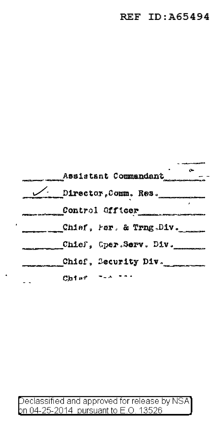|         | Assistant Commandant                                     |
|---------|----------------------------------------------------------|
|         | $\overbrace{\smile}{\qquad \qquad}$ Director, Comm. Res. |
|         | Control Officer                                          |
|         | _Chiaf, Par. & Trng.Div.                                 |
|         | Chief, Gper.Serv. Div.                                   |
|         | Chief, Security Div.                                     |
| $Ch1*2$ |                                                          |

 $\bullet$ 

Declassified and approved for release by NSA<br>pn 04-25-2014 pursuant to E.O. 13526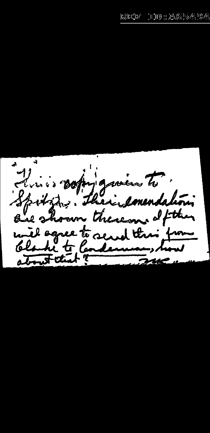4 Quis reprignante Spitzz, their emendation are shown thereon of the will agree to send this Clarke to Canders atout that?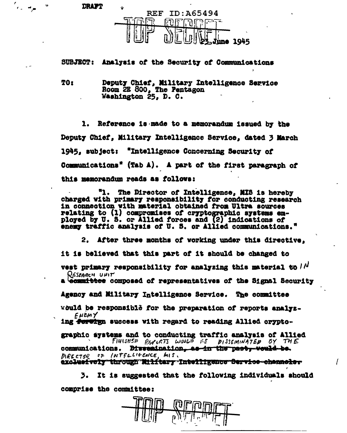**DRAFT** 

 $\sigma_{\rm{eff}}=400$ 



## SUBJECT: Analysis of the Security of Communications

Deputy Chief, Military Intelligence Service TO<sub>1</sub> Room 2E 800, The Pentagon Washington 25, D. C.

Reference is made to a memorandum issued by the Deputy Chief, Military Intelligence Service, dated 3 March 1945. subject: "Intelligence Concerning Security of Communications" (Tab A). A part of the first paragraph of this memorandum reads as follows:

"1. The Director of Intelligence. MIS is hereby charged with primary responsibility for conducting research in connection with material obtained from Ultra sources relating to (1) compromises of cryptographic systems employed by U. S. or Allied forces and (2) indications of enemy traffic analysis of U.S. or Allied communications."

2. After three months of working under this directive. it is believed that this part of it should be changed to vest primary responsibility for analyzing this material to  $/N$ RESEARCH UNIT

a committee composed of representatives of the Signal Security

Agency and Military Intelligence Service. The committee

would be responsible for the preparation of reports analyz-ENEMY

ing for the success with regard to reading Allied crypto-

graphic systems and to conducting traffic analysis of Allied<br>FINISHEP REAGRI WOULD AS PISSONIMATED OY THE communications. Dissemination, as in the past, would be. DIRECTER OF INTELLIGENCE, MIS. excluefvety through Military Intelligence Service channels,

It is suggested that the following individuals should э. comprise the committee: